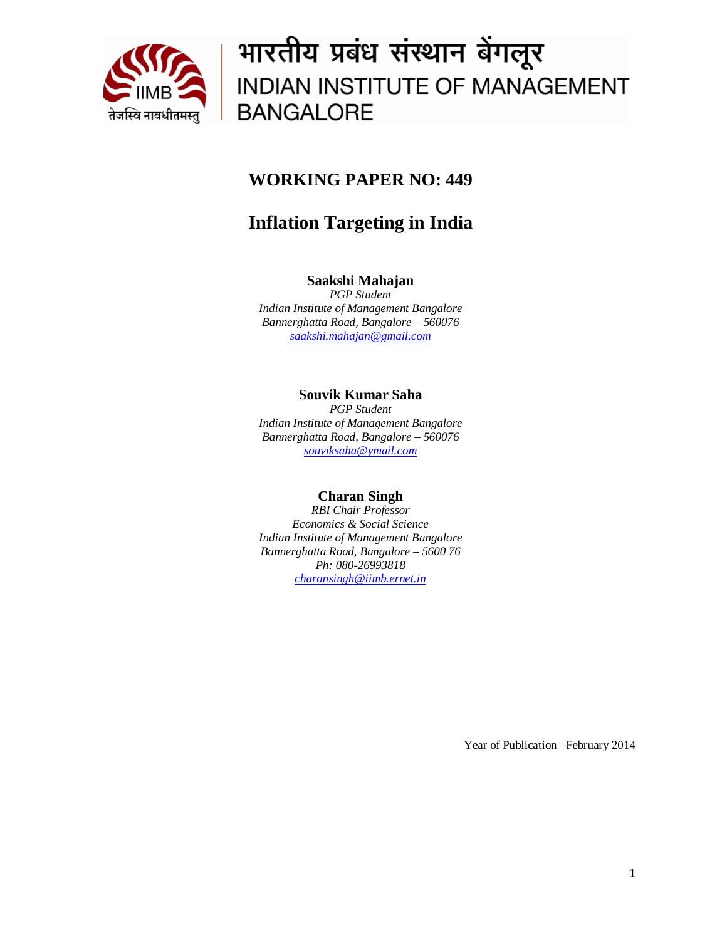

# भारतीय प्रबंध संस्थान बेंगलूर INDIAN INSTITUTE OF MANAGEMENT **BANGALORE**

### **WORKING PAPER NO: 449**

## **Inflation Targeting in India**

### **Saakshi Mahajan**

*PGP Student Indian Institute of Management Bangalore Bannerghatta Road, Bangalore – 560076 saakshi.mahajan@gmail.com*

### **Souvik Kumar Saha**

*PGP Student Indian Institute of Management Bangalore Bannerghatta Road, Bangalore – 560076 souviksaha@ymail.com*

### **Charan Singh**

*RBI Chair Professor Economics & Social Science Indian Institute of Management Bangalore Bannerghatta Road, Bangalore – 5600 76 Ph: 080-26993818 [charansingh@iimb.ernet.in](mailto:charansingh@iimb.ernet.in)*

Year of Publication –February 2014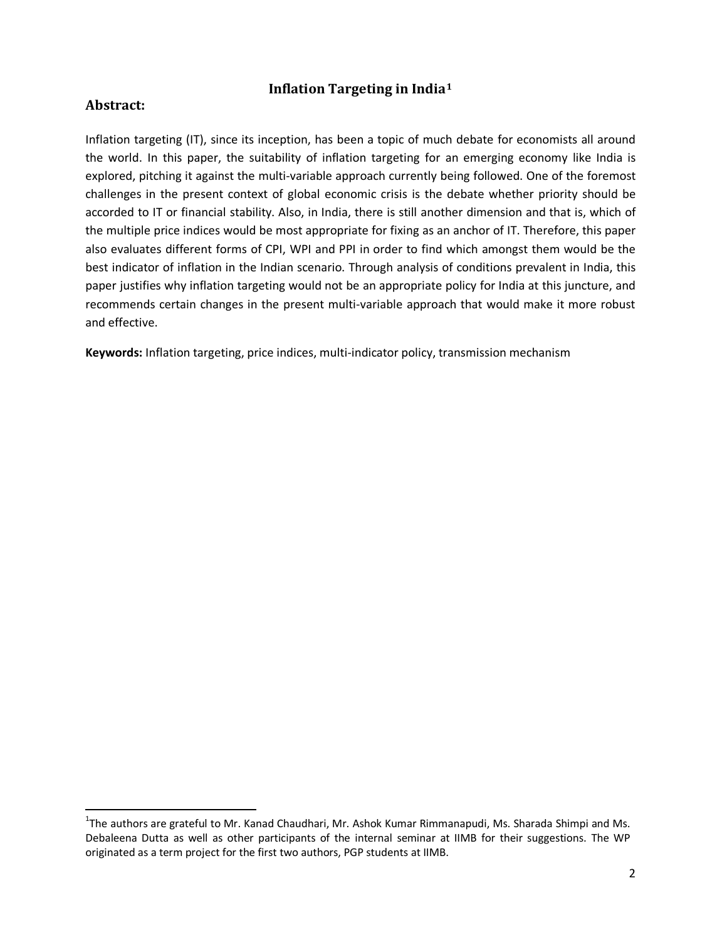#### **Inflation Targeting in India[1](#page-1-0)**

#### **Abstract:**

Inflation targeting (IT), since its inception, has been a topic of much debate for economists all around the world. In this paper, the suitability of inflation targeting for an emerging economy like India is explored, pitching it against the multi-variable approach currently being followed. One of the foremost challenges in the present context of global economic crisis is the debate whether priority should be accorded to IT or financial stability. Also, in India, there is still another dimension and that is, which of the multiple price indices would be most appropriate for fixing as an anchor of IT. Therefore, this paper also evaluates different forms of CPI, WPI and PPI in order to find which amongst them would be the best indicator of inflation in the Indian scenario. Through analysis of conditions prevalent in India, this paper justifies why inflation targeting would not be an appropriate policy for India at this juncture, and recommends certain changes in the present multi-variable approach that would make it more robust and effective.

**Keywords:** Inflation targeting, price indices, multi-indicator policy, transmission mechanism

<span id="page-1-0"></span> $\frac{1}{1}$ <sup>1</sup>The authors are grateful to Mr. Kanad Chaudhari, Mr. Ashok Kumar Rimmanapudi, Ms. Sharada Shimpi and Ms. Debaleena Dutta as well as other participants of the internal seminar at IIMB for their suggestions. The WP originated as a term project for the first two authors, PGP students at IIMB.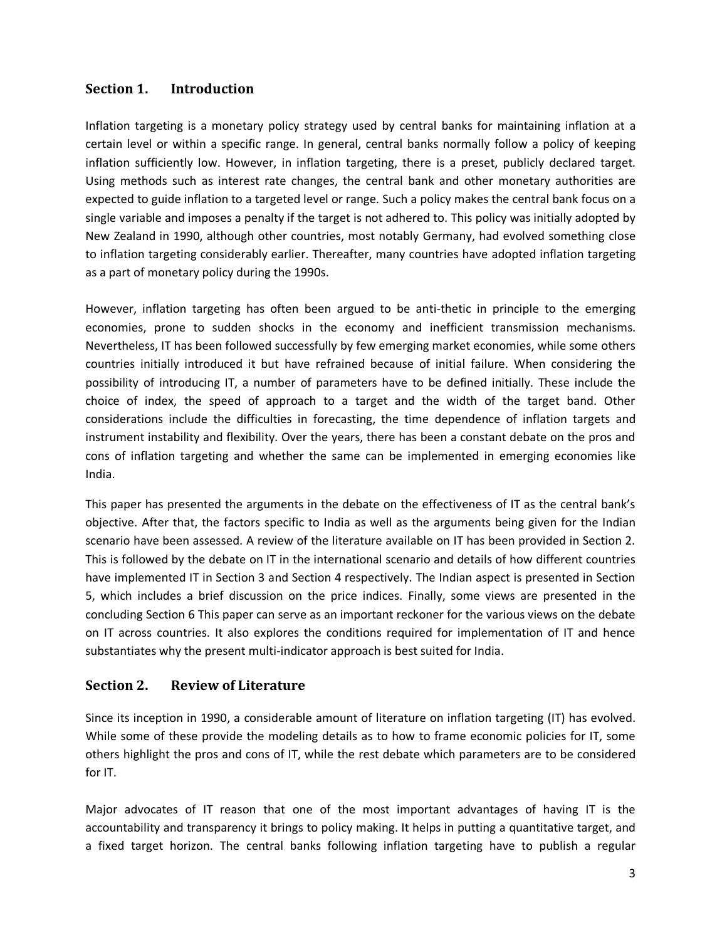### **Section 1. Introduction**

Inflation targeting is a monetary policy strategy used by central banks for maintaining inflation at a certain level or within a specific range. In general, central banks normally follow a policy of keeping inflation sufficiently low. However, in inflation targeting, there is a preset, publicly declared target. Using methods such as interest rate changes, the central bank and other monetary authorities are expected to guide inflation to a targeted level or range. Such a policy makes the central bank focus on a single variable and imposes a penalty if the target is not adhered to. This policy was initially adopted by New Zealand in 1990, although other countries, most notably Germany, had evolved something close to inflation targeting considerably earlier. Thereafter, many countries have adopted inflation targeting as a part of monetary policy during the 1990s.

However, inflation targeting has often been argued to be anti-thetic in principle to the emerging economies, prone to sudden shocks in the economy and inefficient transmission mechanisms. Nevertheless, IT has been followed successfully by few emerging market economies, while some others countries initially introduced it but have refrained because of initial failure. When considering the possibility of introducing IT, a number of parameters have to be defined initially. These include the choice of index, the speed of approach to a target and the width of the target band. Other considerations include the difficulties in forecasting, the time dependence of inflation targets and instrument instability and flexibility. Over the years, there has been a constant debate on the pros and cons of inflation targeting and whether the same can be implemented in emerging economies like India.

This paper has presented the arguments in the debate on the effectiveness of IT as the central bank's objective. After that, the factors specific to India as well as the arguments being given for the Indian scenario have been assessed. A review of the literature available on IT has been provided in Section 2. This is followed by the debate on IT in the international scenario and details of how different countries have implemented IT in Section 3 and Section 4 respectively. The Indian aspect is presented in Section 5, which includes a brief discussion on the price indices. Finally, some views are presented in the concluding Section 6 This paper can serve as an important reckoner for the various views on the debate on IT across countries. It also explores the conditions required for implementation of IT and hence substantiates why the present multi-indicator approach is best suited for India.

#### **Section 2. Review of Literature**

Since its inception in 1990, a considerable amount of literature on inflation targeting (IT) has evolved. While some of these provide the modeling details as to how to frame economic policies for IT, some others highlight the pros and cons of IT, while the rest debate which parameters are to be considered for IT.

Major advocates of IT reason that one of the most important advantages of having IT is the accountability and transparency it brings to policy making. It helps in putting a quantitative target, and a fixed target horizon. The central banks following inflation targeting have to publish a regular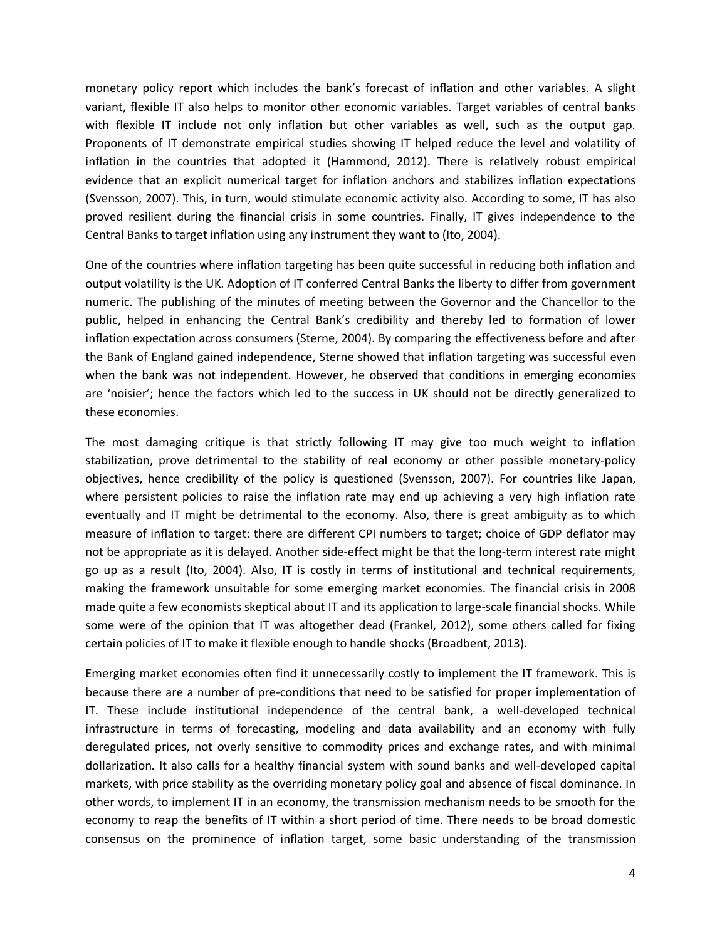monetary policy report which includes the bank's forecast of inflation and other variables. A slight variant, flexible IT also helps to monitor other economic variables. Target variables of central banks with flexible IT include not only inflation but other variables as well, such as the output gap. Proponents of IT demonstrate empirical studies showing IT helped reduce the level and volatility of inflation in the countries that adopted it (Hammond, 2012). There is relatively robust empirical evidence that an explicit numerical target for inflation anchors and stabilizes inflation expectations (Svensson, 2007). This, in turn, would stimulate economic activity also. According to some, IT has also proved resilient during the financial crisis in some countries. Finally, IT gives independence to the Central Banks to target inflation using any instrument they want to (Ito, 2004).

One of the countries where inflation targeting has been quite successful in reducing both inflation and output volatility is the UK. Adoption of IT conferred Central Banks the liberty to differ from government numeric. The publishing of the minutes of meeting between the Governor and the Chancellor to the public, helped in enhancing the Central Bank's credibility and thereby led to formation of lower inflation expectation across consumers (Sterne, 2004). By comparing the effectiveness before and after the Bank of England gained independence, Sterne showed that inflation targeting was successful even when the bank was not independent. However, he observed that conditions in emerging economies are 'noisier'; hence the factors which led to the success in UK should not be directly generalized to these economies.

The most damaging critique is that strictly following IT may give too much weight to inflation stabilization, prove detrimental to the stability of real economy or other possible monetary-policy objectives, hence credibility of the policy is questioned (Svensson, 2007). For countries like Japan, where persistent policies to raise the inflation rate may end up achieving a very high inflation rate eventually and IT might be detrimental to the economy. Also, there is great ambiguity as to which measure of inflation to target: there are different CPI numbers to target; choice of GDP deflator may not be appropriate as it is delayed. Another side-effect might be that the long-term interest rate might go up as a result (Ito, 2004). Also, IT is costly in terms of institutional and technical requirements, making the framework unsuitable for some emerging market economies. The financial crisis in 2008 made quite a few economists skeptical about IT and its application to large-scale financial shocks. While some were of the opinion that IT was altogether dead (Frankel, 2012), some others called for fixing certain policies of IT to make it flexible enough to handle shocks (Broadbent, 2013).

Emerging market economies often find it unnecessarily costly to implement the IT framework. This is because there are a number of pre-conditions that need to be satisfied for proper implementation of IT. These include institutional independence of the central bank, a well-developed technical infrastructure in terms of forecasting, modeling and data availability and an economy with fully deregulated prices, not overly sensitive to commodity prices and exchange rates, and with minimal dollarization. It also calls for a healthy financial system with sound banks and well-developed capital markets, with price stability as the overriding monetary policy goal and absence of fiscal dominance. In other words, to implement IT in an economy, the transmission mechanism needs to be smooth for the economy to reap the benefits of IT within a short period of time. There needs to be broad domestic consensus on the prominence of inflation target, some basic understanding of the transmission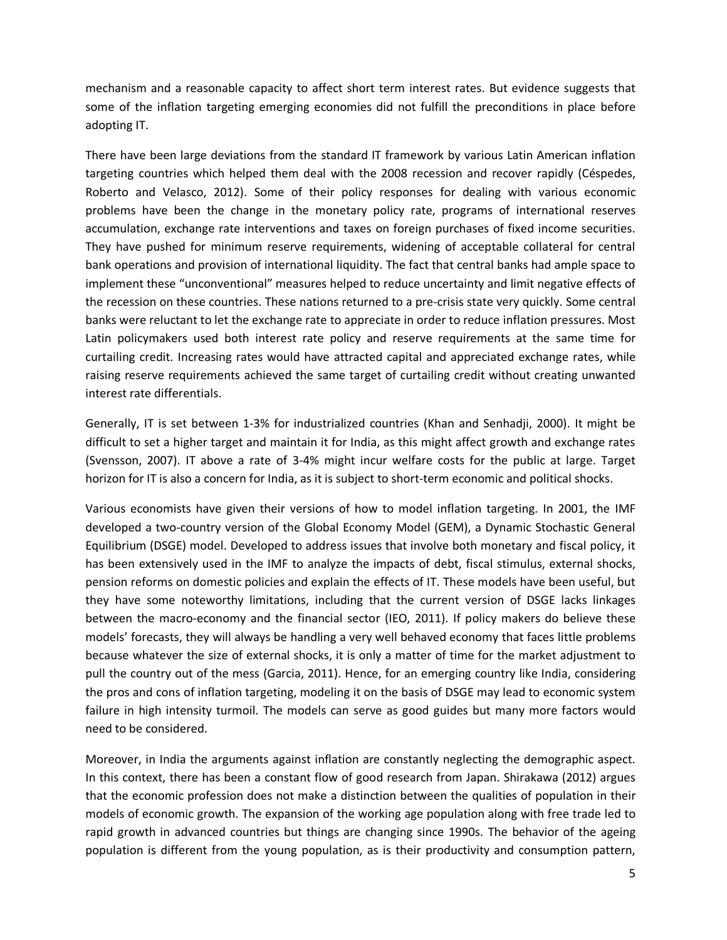mechanism and a reasonable capacity to affect short term interest rates. But evidence suggests that some of the inflation targeting emerging economies did not fulfill the preconditions in place before adopting IT.

There have been large deviations from the standard IT framework by various Latin American inflation targeting countries which helped them deal with the 2008 recession and recover rapidly (Céspedes, Roberto and Velasco, 2012). Some of their policy responses for dealing with various economic problems have been the change in the monetary policy rate, programs of international reserves accumulation, exchange rate interventions and taxes on foreign purchases of fixed income securities. They have pushed for minimum reserve requirements, widening of acceptable collateral for central bank operations and provision of international liquidity. The fact that central banks had ample space to implement these "unconventional" measures helped to reduce uncertainty and limit negative effects of the recession on these countries. These nations returned to a pre-crisis state very quickly. Some central banks were reluctant to let the exchange rate to appreciate in order to reduce inflation pressures. Most Latin policymakers used both interest rate policy and reserve requirements at the same time for curtailing credit. Increasing rates would have attracted capital and appreciated exchange rates, while raising reserve requirements achieved the same target of curtailing credit without creating unwanted interest rate differentials.

Generally, IT is set between 1-3% for industrialized countries (Khan and Senhadji, 2000). It might be difficult to set a higher target and maintain it for India, as this might affect growth and exchange rates (Svensson, 2007). IT above a rate of 3-4% might incur welfare costs for the public at large. Target horizon for IT is also a concern for India, as it is subject to short-term economic and political shocks.

Various economists have given their versions of how to model inflation targeting. In 2001, the IMF developed a two-country version of the Global Economy Model (GEM), a Dynamic Stochastic General Equilibrium (DSGE) model. Developed to address issues that involve both monetary and fiscal policy, it has been extensively used in the IMF to analyze the impacts of debt, fiscal stimulus, external shocks, pension reforms on domestic policies and explain the effects of IT. These models have been useful, but they have some noteworthy limitations, including that the current version of DSGE lacks linkages between the macro-economy and the financial sector (IEO, 2011). If policy makers do believe these models' forecasts, they will always be handling a very well behaved economy that faces little problems because whatever the size of external shocks, it is only a matter of time for the market adjustment to pull the country out of the mess (Garcia, 2011). Hence, for an emerging country like India, considering the pros and cons of inflation targeting, modeling it on the basis of DSGE may lead to economic system failure in high intensity turmoil. The models can serve as good guides but many more factors would need to be considered.

Moreover, in India the arguments against inflation are constantly neglecting the demographic aspect. In this context, there has been a constant flow of good research from Japan. Shirakawa (2012) argues that the economic profession does not make a distinction between the qualities of population in their models of economic growth. The expansion of the working age population along with free trade led to rapid growth in advanced countries but things are changing since 1990s. The behavior of the ageing population is different from the young population, as is their productivity and consumption pattern,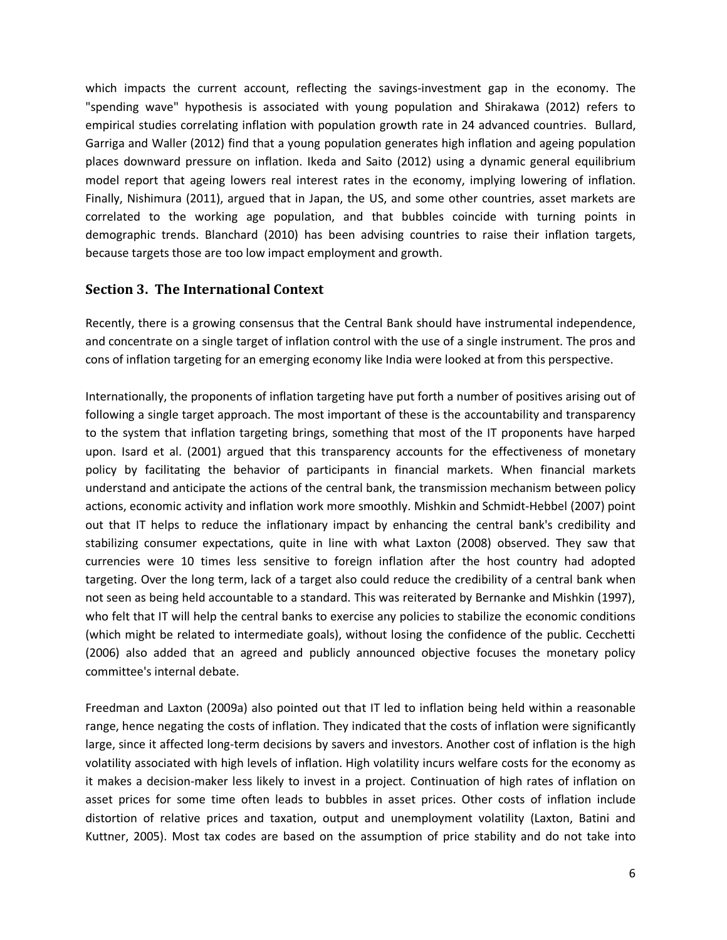which impacts the current account, reflecting the savings-investment gap in the economy. The "spending wave" hypothesis is associated with young population and Shirakawa (2012) refers to empirical studies correlating inflation with population growth rate in 24 advanced countries. Bullard, Garriga and Waller (2012) find that a young population generates high inflation and ageing population places downward pressure on inflation. Ikeda and Saito (2012) using a dynamic general equilibrium model report that ageing lowers real interest rates in the economy, implying lowering of inflation. Finally, Nishimura (2011), argued that in Japan, the US, and some other countries, asset markets are correlated to the working age population, and that bubbles coincide with turning points in demographic trends. Blanchard (2010) has been advising countries to raise their inflation targets, because targets those are too low impact employment and growth.

#### **Section 3. The International Context**

Recently, there is a growing consensus that the Central Bank should have instrumental independence, and concentrate on a single target of inflation control with the use of a single instrument. The pros and cons of inflation targeting for an emerging economy like India were looked at from this perspective.

Internationally, the proponents of inflation targeting have put forth a number of positives arising out of following a single target approach. The most important of these is the accountability and transparency to the system that inflation targeting brings, something that most of the IT proponents have harped upon. Isard et al. (2001) argued that this transparency accounts for the effectiveness of monetary policy by facilitating the behavior of participants in financial markets. When financial markets understand and anticipate the actions of the central bank, the transmission mechanism between policy actions, economic activity and inflation work more smoothly. Mishkin and Schmidt-Hebbel (2007) point out that IT helps to reduce the inflationary impact by enhancing the central bank's credibility and stabilizing consumer expectations, quite in line with what Laxton (2008) observed. They saw that currencies were 10 times less sensitive to foreign inflation after the host country had adopted targeting. Over the long term, lack of a target also could reduce the credibility of a central bank when not seen as being held accountable to a standard. This was reiterated by Bernanke and Mishkin (1997), who felt that IT will help the central banks to exercise any policies to stabilize the economic conditions (which might be related to intermediate goals), without losing the confidence of the public. Cecchetti (2006) also added that an agreed and publicly announced objective focuses the monetary policy committee's internal debate.

Freedman and Laxton (2009a) also pointed out that IT led to inflation being held within a reasonable range, hence negating the costs of inflation. They indicated that the costs of inflation were significantly large, since it affected long-term decisions by savers and investors. Another cost of inflation is the high volatility associated with high levels of inflation. High volatility incurs welfare costs for the economy as it makes a decision-maker less likely to invest in a project. Continuation of high rates of inflation on asset prices for some time often leads to bubbles in asset prices. Other costs of inflation include distortion of relative prices and taxation, output and unemployment volatility (Laxton, Batini and Kuttner, 2005). Most tax codes are based on the assumption of price stability and do not take into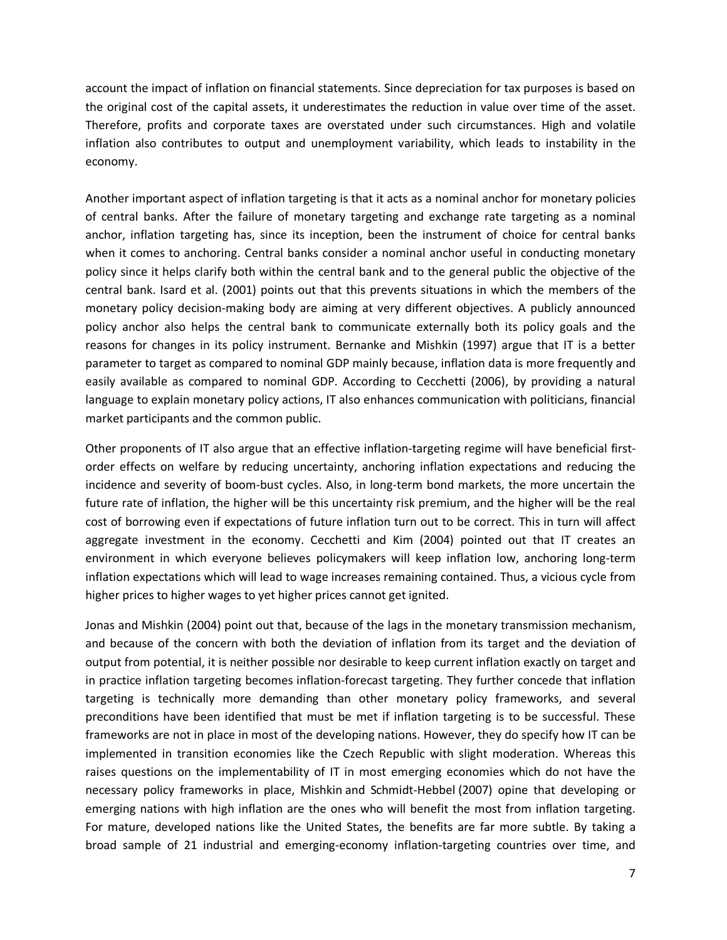account the impact of inflation on financial statements. Since depreciation for tax purposes is based on the original cost of the capital assets, it underestimates the reduction in value over time of the asset. Therefore, profits and corporate taxes are overstated under such circumstances. High and volatile inflation also contributes to output and unemployment variability, which leads to instability in the economy.

Another important aspect of inflation targeting is that it acts as a nominal anchor for monetary policies of central banks. After the failure of monetary targeting and exchange rate targeting as a nominal anchor, inflation targeting has, since its inception, been the instrument of choice for central banks when it comes to anchoring. Central banks consider a nominal anchor useful in conducting monetary policy since it helps clarify both within the central bank and to the general public the objective of the central bank. Isard et al. (2001) points out that this prevents situations in which the members of the monetary policy decision-making body are aiming at very different objectives. A publicly announced policy anchor also helps the central bank to communicate externally both its policy goals and the reasons for changes in its policy instrument. Bernanke and Mishkin (1997) argue that IT is a better parameter to target as compared to nominal GDP mainly because, inflation data is more frequently and easily available as compared to nominal GDP. According to Cecchetti (2006), by providing a natural language to explain monetary policy actions, IT also enhances communication with politicians, financial market participants and the common public.

Other proponents of IT also argue that an effective inflation-targeting regime will have beneficial firstorder effects on welfare by reducing uncertainty, anchoring inflation expectations and reducing the incidence and severity of boom-bust cycles. Also, in long-term bond markets, the more uncertain the future rate of inflation, the higher will be this uncertainty risk premium, and the higher will be the real cost of borrowing even if expectations of future inflation turn out to be correct. This in turn will affect aggregate investment in the economy. Cecchetti and Kim (2004) pointed out that IT creates an environment in which everyone believes policymakers will keep inflation low, anchoring long-term inflation expectations which will lead to wage increases remaining contained. Thus, a vicious cycle from higher prices to higher wages to yet higher prices cannot get ignited.

Jonas and Mishkin (2004) point out that, because of the lags in the monetary transmission mechanism, and because of the concern with both the deviation of inflation from its target and the deviation of output from potential, it is neither possible nor desirable to keep current inflation exactly on target and in practice inflation targeting becomes inflation-forecast targeting. They further concede that inflation targeting is technically more demanding than other monetary policy frameworks, and several preconditions have been identified that must be met if inflation targeting is to be successful. These frameworks are not in place in most of the developing nations. However, they do specify how IT can be implemented in transition economies like the Czech Republic with slight moderation. Whereas this raises questions on the implementability of IT in most emerging economies which do not have the necessary policy frameworks in place, Mishkin and Schmidt-Hebbel (2007) opine that developing or emerging nations with high inflation are the ones who will benefit the most from inflation targeting. For mature, developed nations like the United States, the benefits are far more subtle. By taking a broad sample of 21 industrial and emerging-economy inflation-targeting countries over time, and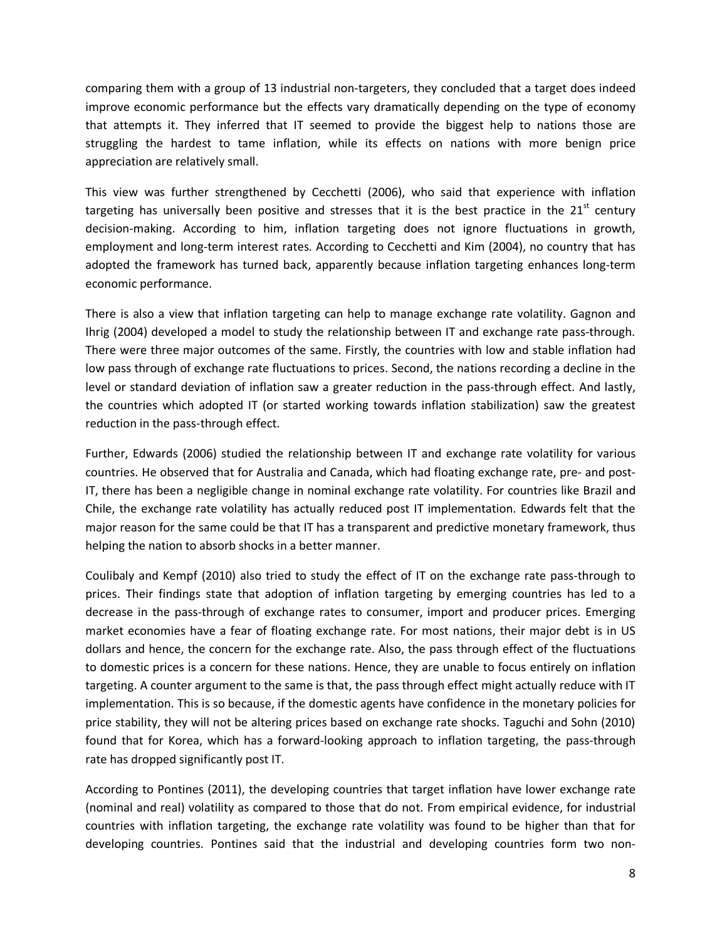comparing them with a group of 13 industrial non-targeters, they concluded that a target does indeed improve economic performance but the effects vary dramatically depending on the type of economy that attempts it. They inferred that IT seemed to provide the biggest help to nations those are struggling the hardest to tame inflation, while its effects on nations with more benign price appreciation are relatively small.

This view was further strengthened by Cecchetti (2006), who said that experience with inflation targeting has universally been positive and stresses that it is the best practice in the  $21<sup>st</sup>$  century decision-making. According to him, inflation targeting does not ignore fluctuations in growth, employment and long-term interest rates. According to Cecchetti and Kim (2004), no country that has adopted the framework has turned back, apparently because inflation targeting enhances long-term economic performance.

There is also a view that inflation targeting can help to manage exchange rate volatility. Gagnon and Ihrig (2004) developed a model to study the relationship between IT and exchange rate pass-through. There were three major outcomes of the same. Firstly, the countries with low and stable inflation had low pass through of exchange rate fluctuations to prices. Second, the nations recording a decline in the level or standard deviation of inflation saw a greater reduction in the pass-through effect. And lastly, the countries which adopted IT (or started working towards inflation stabilization) saw the greatest reduction in the pass-through effect.

Further, Edwards (2006) studied the relationship between IT and exchange rate volatility for various countries. He observed that for Australia and Canada, which had floating exchange rate, pre- and post-IT, there has been a negligible change in nominal exchange rate volatility. For countries like Brazil and Chile, the exchange rate volatility has actually reduced post IT implementation. Edwards felt that the major reason for the same could be that IT has a transparent and predictive monetary framework, thus helping the nation to absorb shocks in a better manner.

Coulibaly and Kempf (2010) also tried to study the effect of IT on the exchange rate pass-through to prices. Their findings state that adoption of inflation targeting by emerging countries has led to a decrease in the pass-through of exchange rates to consumer, import and producer prices. Emerging market economies have a fear of floating exchange rate. For most nations, their major debt is in US dollars and hence, the concern for the exchange rate. Also, the pass through effect of the fluctuations to domestic prices is a concern for these nations. Hence, they are unable to focus entirely on inflation targeting. A counter argument to the same is that, the pass through effect might actually reduce with IT implementation. This is so because, if the domestic agents have confidence in the monetary policies for price stability, they will not be altering prices based on exchange rate shocks. Taguchi and Sohn (2010) found that for Korea, which has a forward-looking approach to inflation targeting, the pass-through rate has dropped significantly post IT.

According to Pontines (2011), the developing countries that target inflation have lower exchange rate (nominal and real) volatility as compared to those that do not. From empirical evidence, for industrial countries with inflation targeting, the exchange rate volatility was found to be higher than that for developing countries. Pontines said that the industrial and developing countries form two non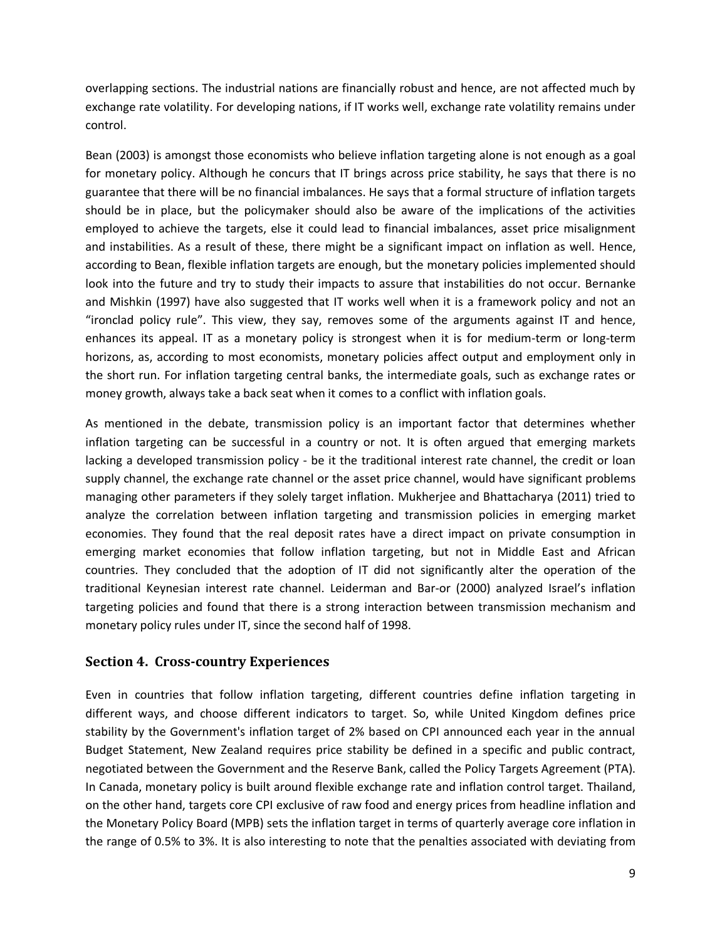overlapping sections. The industrial nations are financially robust and hence, are not affected much by exchange rate volatility. For developing nations, if IT works well, exchange rate volatility remains under control.

Bean (2003) is amongst those economists who believe inflation targeting alone is not enough as a goal for monetary policy. Although he concurs that IT brings across price stability, he says that there is no guarantee that there will be no financial imbalances. He says that a formal structure of inflation targets should be in place, but the policymaker should also be aware of the implications of the activities employed to achieve the targets, else it could lead to financial imbalances, asset price misalignment and instabilities. As a result of these, there might be a significant impact on inflation as well. Hence, according to Bean, flexible inflation targets are enough, but the monetary policies implemented should look into the future and try to study their impacts to assure that instabilities do not occur. Bernanke and Mishkin (1997) have also suggested that IT works well when it is a framework policy and not an "ironclad policy rule". This view, they say, removes some of the arguments against IT and hence, enhances its appeal. IT as a monetary policy is strongest when it is for medium-term or long-term horizons, as, according to most economists, monetary policies affect output and employment only in the short run. For inflation targeting central banks, the intermediate goals, such as exchange rates or money growth, always take a back seat when it comes to a conflict with inflation goals.

As mentioned in the debate, transmission policy is an important factor that determines whether inflation targeting can be successful in a country or not. It is often argued that emerging markets lacking a developed transmission policy - be it the traditional interest rate channel, the credit or loan supply channel, the exchange rate channel or the asset price channel, would have significant problems managing other parameters if they solely target inflation. Mukherjee and Bhattacharya (2011) tried to analyze the correlation between inflation targeting and transmission policies in emerging market economies. They found that the real deposit rates have a direct impact on private consumption in emerging market economies that follow inflation targeting, but not in Middle East and African countries. They concluded that the adoption of IT did not significantly alter the operation of the traditional Keynesian interest rate channel. Leiderman and Bar-or (2000) analyzed Israel's inflation targeting policies and found that there is a strong interaction between transmission mechanism and monetary policy rules under IT, since the second half of 1998.

#### **Section 4. Cross-country Experiences**

Even in countries that follow inflation targeting, different countries define inflation targeting in different ways, and choose different indicators to target. So, while United Kingdom defines price stability by the Government's inflation target of 2% based on CPI announced each year in the annual Budget Statement, New Zealand requires price stability be defined in a specific and public contract, negotiated between the Government and the Reserve Bank, called the Policy Targets Agreement (PTA). In Canada, monetary policy is built around flexible exchange rate and inflation control target. Thailand, on the other hand, targets core CPI exclusive of raw food and energy prices from headline inflation and the Monetary Policy Board (MPB) sets the inflation target in terms of quarterly average core inflation in the range of 0.5% to 3%. It is also interesting to note that the penalties associated with deviating from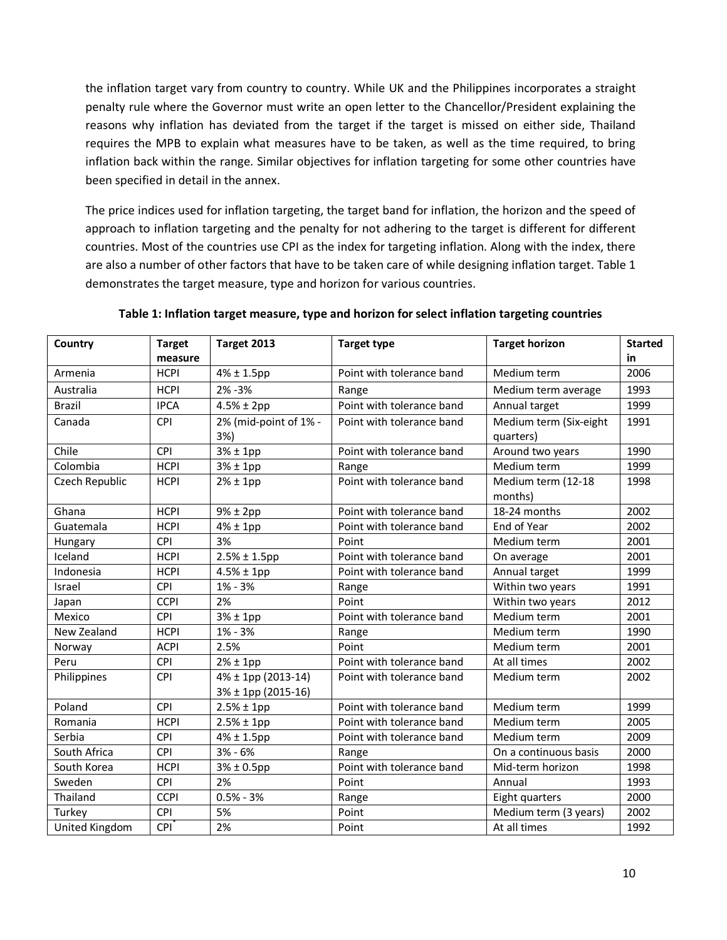the inflation target vary from country to country. While UK and the Philippines incorporates a straight penalty rule where the Governor must write an open letter to the Chancellor/President explaining the reasons why inflation has deviated from the target if the target is missed on either side, Thailand requires the MPB to explain what measures have to be taken, as well as the time required, to bring inflation back within the range. Similar objectives for inflation targeting for some other countries have been specified in detail in the annex.

The price indices used for inflation targeting, the target band for inflation, the horizon and the speed of approach to inflation targeting and the penalty for not adhering to the target is different for different countries. Most of the countries use CPI as the index for targeting inflation. Along with the index, there are also a number of other factors that have to be taken care of while designing inflation target. Table 1 demonstrates the target measure, type and horizon for various countries.

| Country        | <b>Target</b> | Target 2013                              | <b>Target type</b>        | <b>Target horizon</b>               | <b>Started</b> |
|----------------|---------------|------------------------------------------|---------------------------|-------------------------------------|----------------|
|                | measure       |                                          |                           |                                     | in             |
| Armenia        | <b>HCPI</b>   | $4\% \pm 1.5$ pp                         | Point with tolerance band | Medium term                         | 2006           |
| Australia      | <b>HCPI</b>   | 2% - 3%                                  | Range                     | Medium term average                 | 1993           |
| Brazil         | <b>IPCA</b>   | $4.5% \pm 2pp$                           | Point with tolerance band | Annual target                       | 1999           |
| Canada         | CPI           | 2% (mid-point of 1% -<br>3%)             | Point with tolerance band | Medium term (Six-eight<br>quarters) | 1991           |
| Chile          | CPI           | $3% \pm 1pp$                             | Point with tolerance band | Around two years                    | 1990           |
| Colombia       | <b>HCPI</b>   | $3% \pm 1$ pp                            | Range                     | Medium term                         | 1999           |
| Czech Republic | <b>HCPI</b>   | $2\% \pm 1$ pp                           | Point with tolerance band | Medium term (12-18<br>months)       | 1998           |
| Ghana          | <b>HCPI</b>   | $9\% \pm 2pp$                            | Point with tolerance band | 18-24 months                        | 2002           |
| Guatemala      | <b>HCPI</b>   | $4\% \pm 1$ pp                           | Point with tolerance band | End of Year                         | 2002           |
| Hungary        | CPI           | 3%                                       | Point                     | Medium term                         | 2001           |
| Iceland        | <b>HCPI</b>   | $2.5% \pm 1.5pp$                         | Point with tolerance band | On average                          | 2001           |
| Indonesia      | <b>HCPI</b>   | $4.5% \pm 1pp$                           | Point with tolerance band | Annual target                       | 1999           |
| Israel         | CPI           | $1\% - 3\%$                              | Range                     | Within two years                    | 1991           |
| Japan          | <b>CCPI</b>   | 2%                                       | Point                     | Within two years                    | 2012           |
| Mexico         | CPI           | $3% \pm 1pp$                             | Point with tolerance band | Medium term                         | 2001           |
| New Zealand    | <b>HCPI</b>   | $1\% - 3\%$                              | Range                     | Medium term                         | 1990           |
| Norway         | <b>ACPI</b>   | 2.5%                                     | Point                     | Medium term                         | 2001           |
| Peru           | CPI           | $2\% \pm 1$ pp                           | Point with tolerance band | At all times                        | 2002           |
| Philippines    | CPI           | 4% ± 1pp (2013-14)<br>3% ± 1pp (2015-16) | Point with tolerance band | Medium term                         | 2002           |
| Poland         | CPI           | $2.5% \pm 1pp$                           | Point with tolerance band | Medium term                         | 1999           |
| Romania        | <b>HCPI</b>   | $2.5% \pm 1pp$                           | Point with tolerance band | Medium term                         | 2005           |
| Serbia         | CPI           | $4\% \pm 1.5$ pp                         | Point with tolerance band | Medium term                         | 2009           |
| South Africa   | CPI           | $3% - 6%$                                | Range                     | On a continuous basis               | 2000           |
| South Korea    | <b>HCPI</b>   | $3% \pm 0.5$ pp                          | Point with tolerance band | Mid-term horizon                    | 1998           |
| Sweden         | CPI           | 2%                                       | Point                     | Annual                              | 1993           |
| Thailand       | <b>CCPI</b>   | $0.5% - 3%$                              | Range                     | Eight quarters                      | 2000           |
| Turkey         | <b>CPI</b>    | 5%                                       | Point                     | Medium term (3 years)               | 2002           |
| United Kingdom | CPI           | 2%                                       | Point                     | At all times                        | 1992           |

#### **Table 1: Inflation target measure, type and horizon for select inflation targeting countries**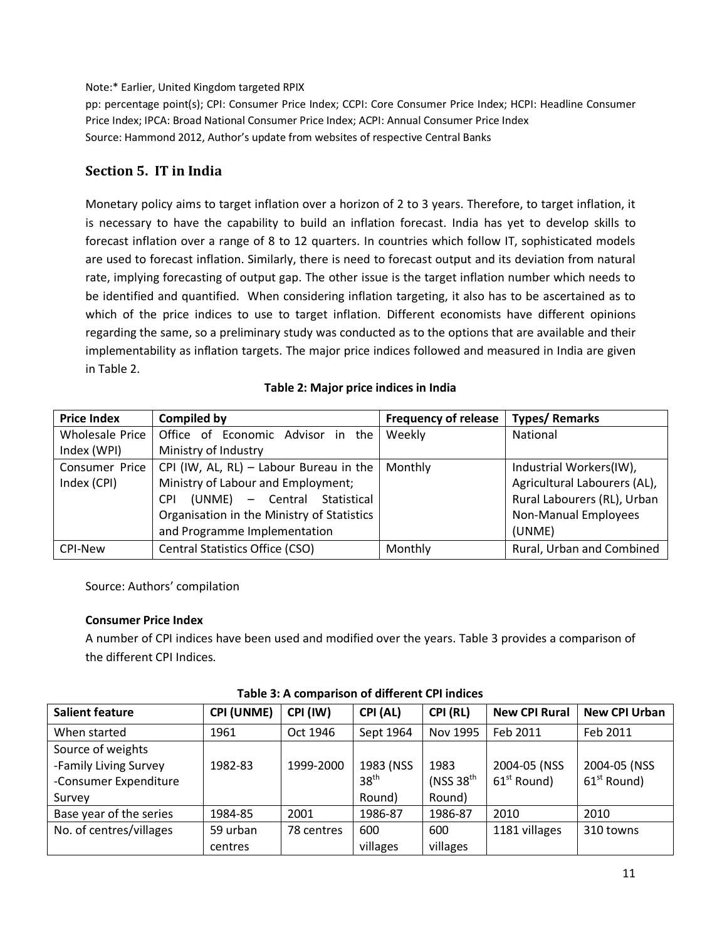Note:\* Earlier, United Kingdom targeted RPIX

pp: percentage point(s); CPI: Consumer Price Index; CCPI: Core Consumer Price Index; HCPI: Headline Consumer Price Index; IPCA: Broad National Consumer Price Index; ACPI: Annual Consumer Price Index Source: Hammond 2012, Author's update from websites of respective Central Banks

### **Section 5. IT in India**

Monetary policy aims to target inflation over a horizon of 2 to 3 years. Therefore, to target inflation, it is necessary to have the capability to build an inflation forecast. India has yet to develop skills to forecast inflation over a range of 8 to 12 quarters. In countries which follow IT, sophisticated models are used to forecast inflation. Similarly, there is need to forecast output and its deviation from natural rate, implying forecasting of output gap. The other issue is the target inflation number which needs to be identified and quantified. When considering inflation targeting, it also has to be ascertained as to which of the price indices to use to target inflation. Different economists have different opinions regarding the same, so a preliminary study was conducted as to the options that are available and their implementability as inflation targets. The major price indices followed and measured in India are given in Table 2.

#### **Table 2: Major price indices in India**

| <b>Price Index</b> | <b>Compiled by</b>                         | Frequency of release | <b>Types/ Remarks</b>        |
|--------------------|--------------------------------------------|----------------------|------------------------------|
| Wholesale Price    | Office of Economic Advisor in the          | Weekly               | <b>National</b>              |
| Index (WPI)        | Ministry of Industry                       |                      |                              |
| Consumer Price     | CPI (IW, AL, RL) - Labour Bureau in the    | Monthly              | Industrial Workers(IW),      |
| Index (CPI)        | Ministry of Labour and Employment;         |                      | Agricultural Labourers (AL), |
|                    | (UNME) - Central Statistical<br><b>CPI</b> |                      | Rural Labourers (RL), Urban  |
|                    | Organisation in the Ministry of Statistics |                      | Non-Manual Employees         |
|                    | and Programme Implementation               |                      | (UNME)                       |
| <b>CPI-New</b>     | Central Statistics Office (CSO)            | Monthly              | Rural, Urban and Combined    |

Source: Authors' compilation

#### **Consumer Price Index**

A number of CPI indices have been used and modified over the years. Table 3 provides a comparison of the different CPI Indices.

| <b>Salient feature</b>  | <b>CPI (UNME)</b> | CPI (IW)   | CPI (AL)         | CPI (RL)    | <b>New CPI Rural</b> | <b>New CPI Urban</b> |
|-------------------------|-------------------|------------|------------------|-------------|----------------------|----------------------|
| When started            | 1961              | Oct 1946   | Sept 1964        | Nov 1995    | Feb 2011             | Feb 2011             |
| Source of weights       |                   |            |                  |             |                      |                      |
| -Family Living Survey   | 1982-83           | 1999-2000  | 1983 (NSS        | 1983        | 2004-05 (NSS         | 2004-05 (NSS         |
| -Consumer Expenditure   |                   |            | 38 <sup>th</sup> | (NSS $38th$ | $61st$ Round)        | $61st$ Round)        |
| Survey                  |                   |            | Round)           | Round)      |                      |                      |
| Base year of the series | 1984-85           | 2001       | 1986-87          | 1986-87     | 2010                 | 2010                 |
| No. of centres/villages | 59 urban          | 78 centres | 600              | 600         | 1181 villages        | 310 towns            |
|                         | centres           |            | villages         | villages    |                      |                      |

#### **Table 3: A comparison of different CPI indices**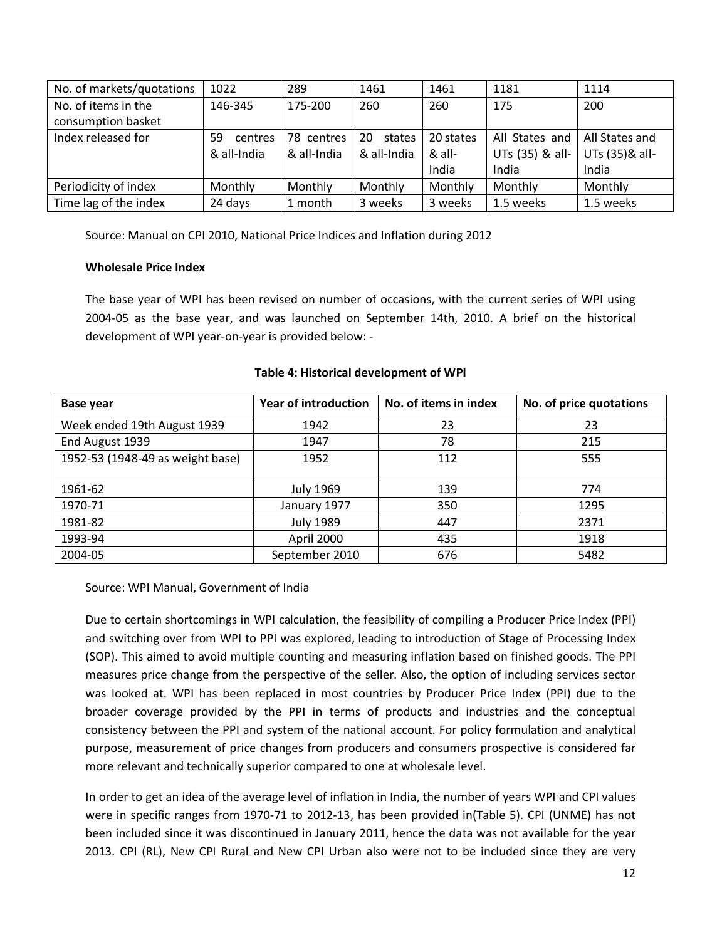| No. of markets/quotations | 1022          | 289         | 1461         | 1461      | 1181            | 1114            |
|---------------------------|---------------|-------------|--------------|-----------|-----------------|-----------------|
| No. of items in the       | 146-345       | 175-200     | 260          | 260       | 175             | 200             |
| consumption basket        |               |             |              |           |                 |                 |
| Index released for        | 59<br>centres | 78 centres  | 20<br>states | 20 states | All States and  | All States and  |
|                           | & all-India   | & all-India | & all-India  | & all-    | UTs (35) & all- | UTs (35) & all- |
|                           |               |             |              | India     | India           | India           |
| Periodicity of index      | Monthly       | Monthly     | Monthly      | Monthly   | Monthly         | Monthly         |
| Time lag of the index     | 24 days       | 1 month     | 3 weeks      | 3 weeks   | 1.5 weeks       | 1.5 weeks       |

Source: Manual on CPI 2010, National Price Indices and Inflation during 2012

#### **Wholesale Price Index**

The base year of WPI has been revised on number of occasions, with the current series of WPI using 2004-05 as the base year, and was launched on September 14th, 2010. A brief on the historical development of WPI year-on-year is provided below: -

| Base year                        | <b>Year of introduction</b> | No. of items in index | No. of price quotations |  |
|----------------------------------|-----------------------------|-----------------------|-------------------------|--|
| Week ended 19th August 1939      | 1942                        | 23                    | 23                      |  |
| End August 1939                  | 1947                        | 78                    | 215                     |  |
| 1952-53 (1948-49 as weight base) | 1952                        | 112                   | 555                     |  |
|                                  |                             |                       |                         |  |
| 1961-62                          | <b>July 1969</b>            | 139                   | 774                     |  |
| 1970-71                          | January 1977                | 350                   | 1295                    |  |
| 1981-82                          | <b>July 1989</b>            | 447                   | 2371                    |  |
| 1993-94                          | April 2000                  | 435                   | 1918                    |  |
| 2004-05                          | September 2010              | 676                   | 5482                    |  |

#### **Table 4: Historical development of WPI**

#### Source: WPI Manual, Government of India

Due to certain shortcomings in WPI calculation, the feasibility of compiling a Producer Price Index (PPI) and switching over from WPI to PPI was explored, leading to introduction of Stage of Processing Index (SOP). This aimed to avoid multiple counting and measuring inflation based on finished goods. The PPI measures price change from the perspective of the seller. Also, the option of including services sector was looked at. WPI has been replaced in most countries by Producer Price Index (PPI) due to the broader coverage provided by the PPI in terms of products and industries and the conceptual consistency between the PPI and system of the national account. For policy formulation and analytical purpose, measurement of price changes from producers and consumers prospective is considered far more relevant and technically superior compared to one at wholesale level.

In order to get an idea of the average level of inflation in India, the number of years WPI and CPI values were in specific ranges from 1970-71 to 2012-13, has been provided in(Table 5). CPI (UNME) has not been included since it was discontinued in January 2011, hence the data was not available for the year 2013. CPI (RL), New CPI Rural and New CPI Urban also were not to be included since they are very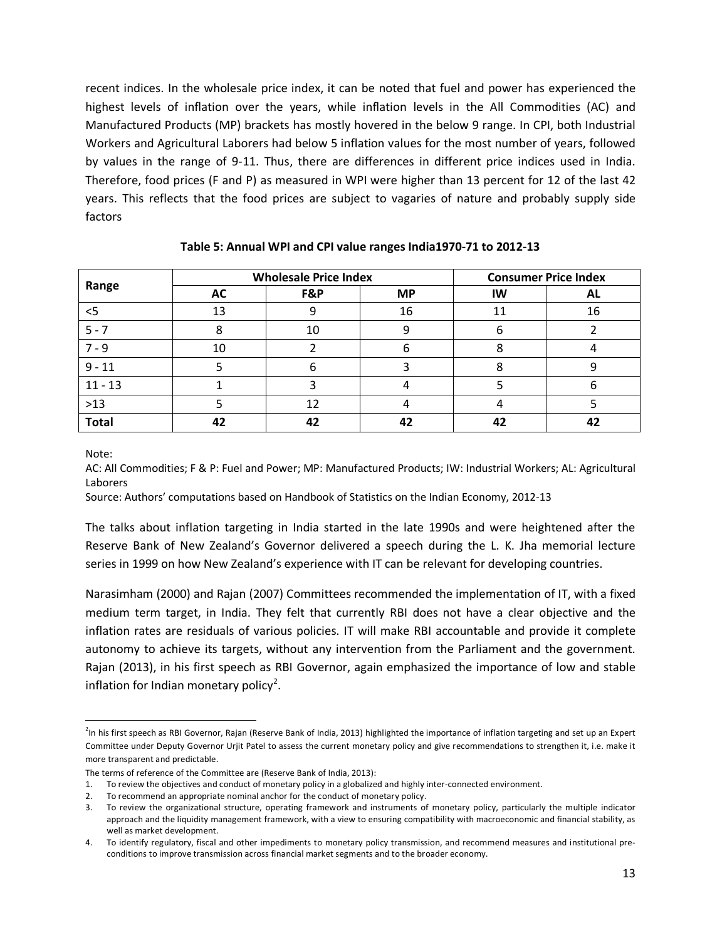recent indices. In the wholesale price index, it can be noted that fuel and power has experienced the highest levels of inflation over the years, while inflation levels in the All Commodities (AC) and Manufactured Products (MP) brackets has mostly hovered in the below 9 range. In CPI, both Industrial Workers and Agricultural Laborers had below 5 inflation values for the most number of years, followed by values in the range of 9-11. Thus, there are differences in different price indices used in India. Therefore, food prices (F and P) as measured in WPI were higher than 13 percent for 12 of the last 42 years. This reflects that the food prices are subject to vagaries of nature and probably supply side factors

|           |           | <b>Wholesale Price Index</b> | <b>Consumer Price Index</b> |    |    |
|-----------|-----------|------------------------------|-----------------------------|----|----|
| Range     | <b>AC</b> | F&P                          | <b>MP</b>                   | IW | AL |
| $<$ 5     | 13        |                              | 16                          | 11 | 16 |
| $5 - 7$   |           | 10                           | q                           | n  |    |
| $7 - 9$   | 10        |                              |                             |    |    |
| $9 - 11$  |           |                              |                             |    |    |
| $11 - 13$ |           |                              |                             |    | n  |
| $>13$     |           | 12                           |                             |    |    |
| Total     |           | 42                           | 42                          | 42 |    |

#### **Table 5: Annual WPI and CPI value ranges India1970-71 to 2012-13**

Note:

AC: All Commodities; F & P: Fuel and Power; MP: Manufactured Products; IW: Industrial Workers; AL: Agricultural Laborers

Source: Authors' computations based on Handbook of Statistics on the Indian Economy, 2012-13

The talks about inflation targeting in India started in the late 1990s and were heightened after the Reserve Bank of New Zealand's Governor delivered a speech during the L. K. Jha memorial lecture series in 1999 on how New Zealand's experience with IT can be relevant for developing countries.

Narasimham (2000) and Rajan (2007) Committees recommended the implementation of IT, with a fixed medium term target, in India. They felt that currently RBI does not have a clear objective and the inflation rates are residuals of various policies. IT will make RBI accountable and provide it complete autonomy to achieve its targets, without any intervention from the Parliament and the government. Rajan (2013), in his first speech as RBI Governor, again emphasized the importance of low and stable inflation for Indian monetary policy<sup>[2](#page-12-0)</sup>.

<span id="page-12-0"></span> $\frac{1}{2}$ <sup>2</sup>In his first speech as RBI Governor, Rajan (Reserve Bank of India, 2013) highlighted the importance of inflation targeting and set up an Expert Committee under Deputy Governor Urjit Patel to assess the current monetary policy and give recommendations to strengthen it, i.e. make it more transparent and predictable.

The terms of reference of the Committee are (Reserve Bank of India, 2013):

<sup>1.</sup> To review the objectives and conduct of monetary policy in a globalized and highly inter-connected environment.

<sup>2.</sup> To recommend an appropriate nominal anchor for the conduct of monetary policy.

<sup>3.</sup> To review the organizational structure, operating framework and instruments of monetary policy, particularly the multiple indicator approach and the liquidity management framework, with a view to ensuring compatibility with macroeconomic and financial stability, as well as market development.

<sup>4.</sup> To identify regulatory, fiscal and other impediments to monetary policy transmission, and recommend measures and institutional preconditions to improve transmission across financial market segments and to the broader economy.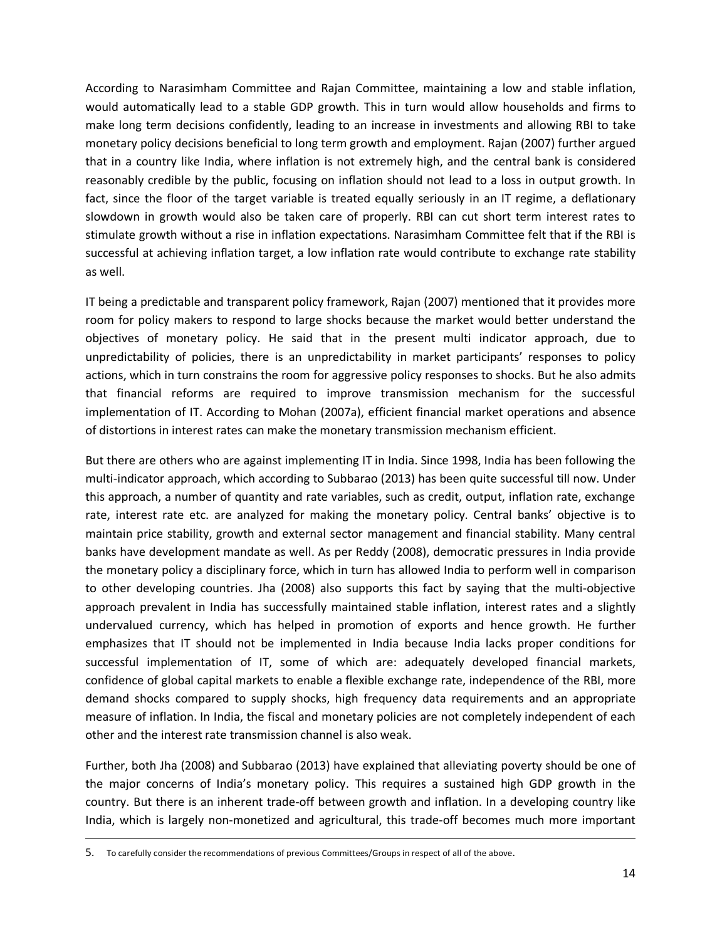According to Narasimham Committee and Rajan Committee, maintaining a low and stable inflation, would automatically lead to a stable GDP growth. This in turn would allow households and firms to make long term decisions confidently, leading to an increase in investments and allowing RBI to take monetary policy decisions beneficial to long term growth and employment. Rajan (2007) further argued that in a country like India, where inflation is not extremely high, and the central bank is considered reasonably credible by the public, focusing on inflation should not lead to a loss in output growth. In fact, since the floor of the target variable is treated equally seriously in an IT regime, a deflationary slowdown in growth would also be taken care of properly. RBI can cut short term interest rates to stimulate growth without a rise in inflation expectations. Narasimham Committee felt that if the RBI is successful at achieving inflation target, a low inflation rate would contribute to exchange rate stability as well.

IT being a predictable and transparent policy framework, Rajan (2007) mentioned that it provides more room for policy makers to respond to large shocks because the market would better understand the objectives of monetary policy. He said that in the present multi indicator approach, due to unpredictability of policies, there is an unpredictability in market participants' responses to policy actions, which in turn constrains the room for aggressive policy responses to shocks. But he also admits that financial reforms are required to improve transmission mechanism for the successful implementation of IT. According to Mohan (2007a), efficient financial market operations and absence of distortions in interest rates can make the monetary transmission mechanism efficient.

But there are others who are against implementing IT in India. Since 1998, India has been following the multi-indicator approach, which according to Subbarao (2013) has been quite successful till now. Under this approach, a number of quantity and rate variables, such as credit, output, inflation rate, exchange rate, interest rate etc. are analyzed for making the monetary policy. Central banks' objective is to maintain price stability, growth and external sector management and financial stability. Many central banks have development mandate as well. As per Reddy (2008), democratic pressures in India provide the monetary policy a disciplinary force, which in turn has allowed India to perform well in comparison to other developing countries. Jha (2008) also supports this fact by saying that the multi-objective approach prevalent in India has successfully maintained stable inflation, interest rates and a slightly undervalued currency, which has helped in promotion of exports and hence growth. He further emphasizes that IT should not be implemented in India because India lacks proper conditions for successful implementation of IT, some of which are: adequately developed financial markets, confidence of global capital markets to enable a flexible exchange rate, independence of the RBI, more demand shocks compared to supply shocks, high frequency data requirements and an appropriate measure of inflation. In India, the fiscal and monetary policies are not completely independent of each other and the interest rate transmission channel is also weak.

Further, both Jha (2008) and Subbarao (2013) have explained that alleviating poverty should be one of the major concerns of India's monetary policy. This requires a sustained high GDP growth in the country. But there is an inherent trade-off between growth and inflation. In a developing country like India, which is largely non-monetized and agricultural, this trade-off becomes much more important

l

<sup>5.</sup> To carefully consider the recommendations of previous Committees/Groups in respect of all of the above.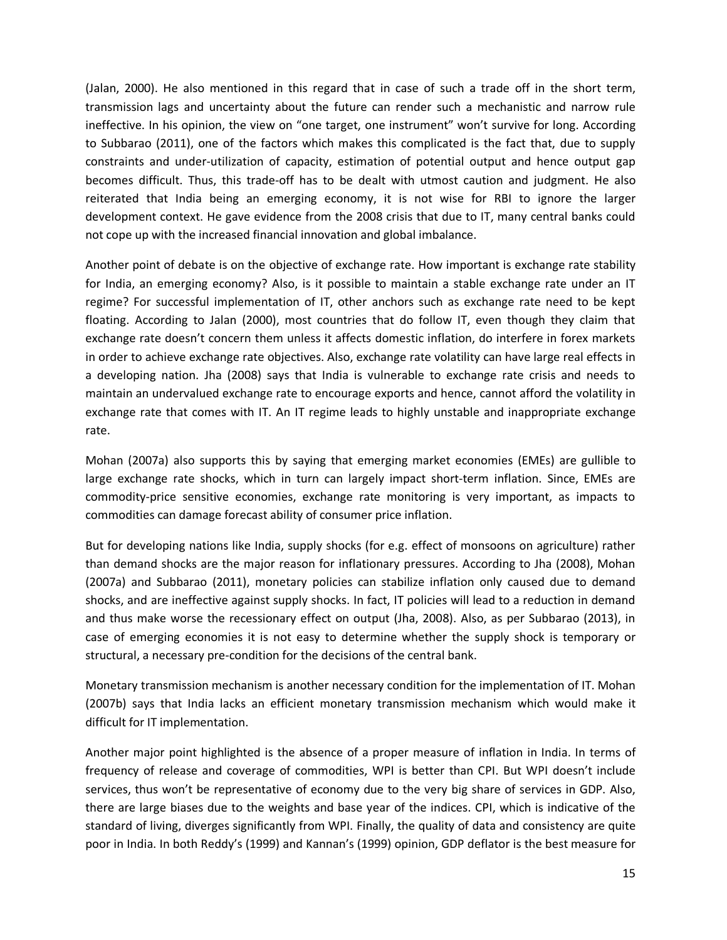(Jalan, 2000). He also mentioned in this regard that in case of such a trade off in the short term, transmission lags and uncertainty about the future can render such a mechanistic and narrow rule ineffective. In his opinion, the view on "one target, one instrument" won't survive for long. According to Subbarao (2011), one of the factors which makes this complicated is the fact that, due to supply constraints and under-utilization of capacity, estimation of potential output and hence output gap becomes difficult. Thus, this trade-off has to be dealt with utmost caution and judgment. He also reiterated that India being an emerging economy, it is not wise for RBI to ignore the larger development context. He gave evidence from the 2008 crisis that due to IT, many central banks could not cope up with the increased financial innovation and global imbalance.

Another point of debate is on the objective of exchange rate. How important is exchange rate stability for India, an emerging economy? Also, is it possible to maintain a stable exchange rate under an IT regime? For successful implementation of IT, other anchors such as exchange rate need to be kept floating. According to Jalan (2000), most countries that do follow IT, even though they claim that exchange rate doesn't concern them unless it affects domestic inflation, do interfere in forex markets in order to achieve exchange rate objectives. Also, exchange rate volatility can have large real effects in a developing nation. Jha (2008) says that India is vulnerable to exchange rate crisis and needs to maintain an undervalued exchange rate to encourage exports and hence, cannot afford the volatility in exchange rate that comes with IT. An IT regime leads to highly unstable and inappropriate exchange rate.

Mohan (2007a) also supports this by saying that emerging market economies (EMEs) are gullible to large exchange rate shocks, which in turn can largely impact short-term inflation. Since, EMEs are commodity-price sensitive economies, exchange rate monitoring is very important, as impacts to commodities can damage forecast ability of consumer price inflation.

But for developing nations like India, supply shocks (for e.g. effect of monsoons on agriculture) rather than demand shocks are the major reason for inflationary pressures. According to Jha (2008), Mohan (2007a) and Subbarao (2011), monetary policies can stabilize inflation only caused due to demand shocks, and are ineffective against supply shocks. In fact, IT policies will lead to a reduction in demand and thus make worse the recessionary effect on output (Jha, 2008). Also, as per Subbarao (2013), in case of emerging economies it is not easy to determine whether the supply shock is temporary or structural, a necessary pre-condition for the decisions of the central bank.

Monetary transmission mechanism is another necessary condition for the implementation of IT. Mohan (2007b) says that India lacks an efficient monetary transmission mechanism which would make it difficult for IT implementation.

Another major point highlighted is the absence of a proper measure of inflation in India. In terms of frequency of release and coverage of commodities, WPI is better than CPI. But WPI doesn't include services, thus won't be representative of economy due to the very big share of services in GDP. Also, there are large biases due to the weights and base year of the indices. CPI, which is indicative of the standard of living, diverges significantly from WPI. Finally, the quality of data and consistency are quite poor in India. In both Reddy's (1999) and Kannan's (1999) opinion, GDP deflator is the best measure for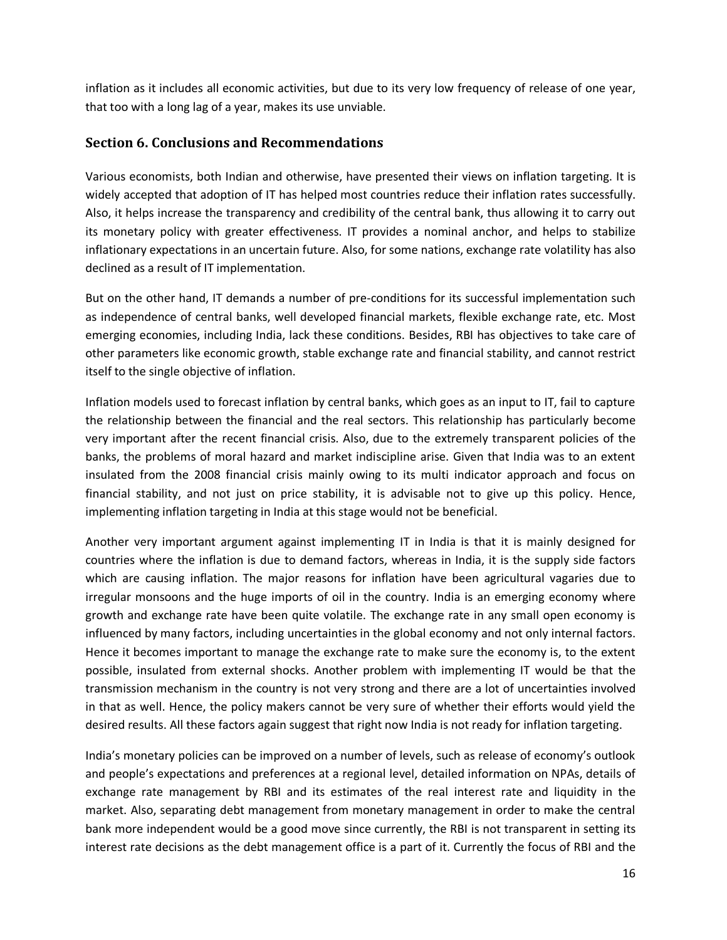inflation as it includes all economic activities, but due to its very low frequency of release of one year, that too with a long lag of a year, makes its use unviable.

#### **Section 6. Conclusions and Recommendations**

Various economists, both Indian and otherwise, have presented their views on inflation targeting. It is widely accepted that adoption of IT has helped most countries reduce their inflation rates successfully. Also, it helps increase the transparency and credibility of the central bank, thus allowing it to carry out its monetary policy with greater effectiveness. IT provides a nominal anchor, and helps to stabilize inflationary expectations in an uncertain future. Also, for some nations, exchange rate volatility has also declined as a result of IT implementation.

But on the other hand, IT demands a number of pre-conditions for its successful implementation such as independence of central banks, well developed financial markets, flexible exchange rate, etc. Most emerging economies, including India, lack these conditions. Besides, RBI has objectives to take care of other parameters like economic growth, stable exchange rate and financial stability, and cannot restrict itself to the single objective of inflation.

Inflation models used to forecast inflation by central banks, which goes as an input to IT, fail to capture the relationship between the financial and the real sectors. This relationship has particularly become very important after the recent financial crisis. Also, due to the extremely transparent policies of the banks, the problems of moral hazard and market indiscipline arise. Given that India was to an extent insulated from the 2008 financial crisis mainly owing to its multi indicator approach and focus on financial stability, and not just on price stability, it is advisable not to give up this policy. Hence, implementing inflation targeting in India at this stage would not be beneficial.

Another very important argument against implementing IT in India is that it is mainly designed for countries where the inflation is due to demand factors, whereas in India, it is the supply side factors which are causing inflation. The major reasons for inflation have been agricultural vagaries due to irregular monsoons and the huge imports of oil in the country. India is an emerging economy where growth and exchange rate have been quite volatile. The exchange rate in any small open economy is influenced by many factors, including uncertainties in the global economy and not only internal factors. Hence it becomes important to manage the exchange rate to make sure the economy is, to the extent possible, insulated from external shocks. Another problem with implementing IT would be that the transmission mechanism in the country is not very strong and there are a lot of uncertainties involved in that as well. Hence, the policy makers cannot be very sure of whether their efforts would yield the desired results. All these factors again suggest that right now India is not ready for inflation targeting.

India's monetary policies can be improved on a number of levels, such as release of economy's outlook and people's expectations and preferences at a regional level, detailed information on NPAs, details of exchange rate management by RBI and its estimates of the real interest rate and liquidity in the market. Also, separating debt management from monetary management in order to make the central bank more independent would be a good move since currently, the RBI is not transparent in setting its interest rate decisions as the debt management office is a part of it. Currently the focus of RBI and the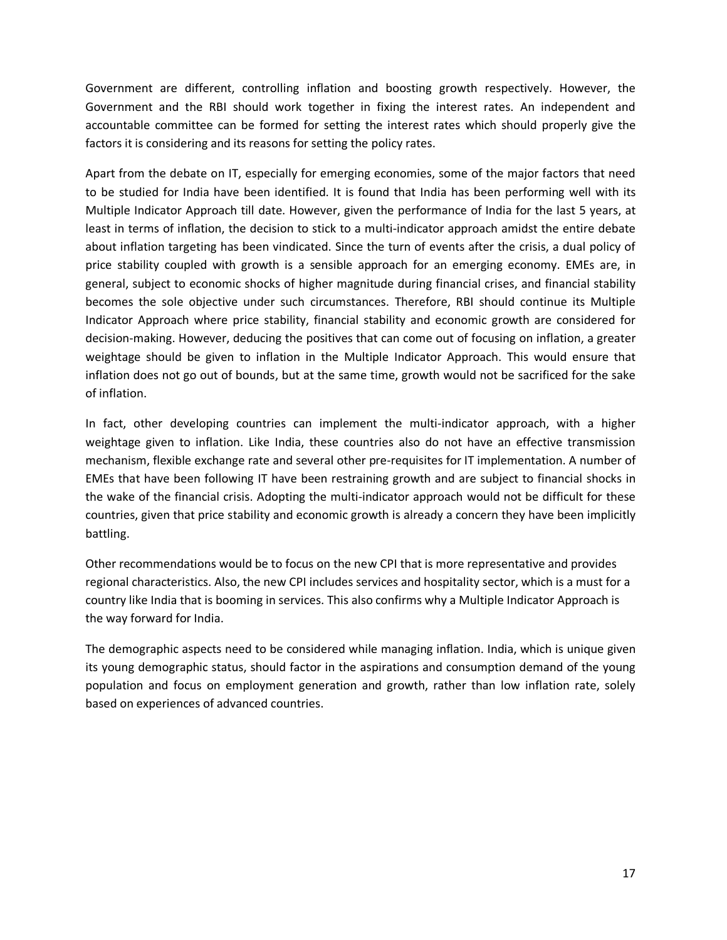Government are different, controlling inflation and boosting growth respectively. However, the Government and the RBI should work together in fixing the interest rates. An independent and accountable committee can be formed for setting the interest rates which should properly give the factors it is considering and its reasons for setting the policy rates.

Apart from the debate on IT, especially for emerging economies, some of the major factors that need to be studied for India have been identified. It is found that India has been performing well with its Multiple Indicator Approach till date. However, given the performance of India for the last 5 years, at least in terms of inflation, the decision to stick to a multi-indicator approach amidst the entire debate about inflation targeting has been vindicated. Since the turn of events after the crisis, a dual policy of price stability coupled with growth is a sensible approach for an emerging economy. EMEs are, in general, subject to economic shocks of higher magnitude during financial crises, and financial stability becomes the sole objective under such circumstances. Therefore, RBI should continue its Multiple Indicator Approach where price stability, financial stability and economic growth are considered for decision-making. However, deducing the positives that can come out of focusing on inflation, a greater weightage should be given to inflation in the Multiple Indicator Approach. This would ensure that inflation does not go out of bounds, but at the same time, growth would not be sacrificed for the sake of inflation.

In fact, other developing countries can implement the multi-indicator approach, with a higher weightage given to inflation. Like India, these countries also do not have an effective transmission mechanism, flexible exchange rate and several other pre-requisites for IT implementation. A number of EMEs that have been following IT have been restraining growth and are subject to financial shocks in the wake of the financial crisis. Adopting the multi-indicator approach would not be difficult for these countries, given that price stability and economic growth is already a concern they have been implicitly battling.

Other recommendations would be to focus on the new CPI that is more representative and provides regional characteristics. Also, the new CPI includes services and hospitality sector, which is a must for a country like India that is booming in services. This also confirms why a Multiple Indicator Approach is the way forward for India.

The demographic aspects need to be considered while managing inflation. India, which is unique given its young demographic status, should factor in the aspirations and consumption demand of the young population and focus on employment generation and growth, rather than low inflation rate, solely based on experiences of advanced countries.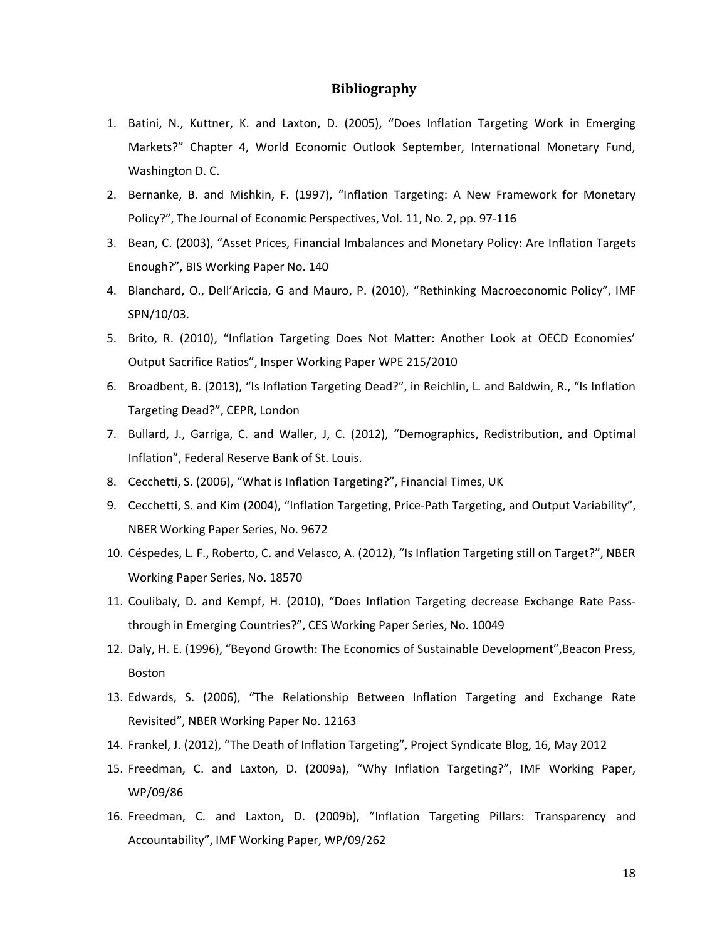#### **Bibliography**

- 1. Batini, N., Kuttner, K. and Laxton, D. (2005), "Does Inflation Targeting Work in Emerging Markets?" Chapter 4, World Economic Outlook September, International Monetary Fund, Washington D. C.
- 2. Bernanke, B. and Mishkin, F. (1997), "Inflation Targeting: A New Framework for Monetary Policy?", The Journal of Economic Perspectives, Vol. 11, No. 2, pp. 97-116
- 3. Bean, C. (2003), "Asset Prices, Financial Imbalances and Monetary Policy: Are Inflation Targets Enough?", BIS Working Paper No. 140
- 4. Blanchard, O., Dell'Ariccia, G and Mauro, P. (2010), "Rethinking Macroeconomic Policy", IMF SPN/10/03.
- 5. Brito, R. (2010), "Inflation Targeting Does Not Matter: Another Look at OECD Economies' Output Sacrifice Ratios", Insper Working Paper WPE 215/2010
- 6. Broadbent, B. (2013), "Is Inflation Targeting Dead?", in Reichlin, L. and Baldwin, R., "Is Inflation Targeting Dead?", CEPR, London
- 7. Bullard, J., Garriga, C. and Waller, J, C. (2012), "Demographics, Redistribution, and Optimal Inflation", Federal Reserve Bank of St. Louis.
- 8. Cecchetti, S. (2006), "What is Inflation Targeting?", Financial Times, UK
- 9. Cecchetti, S. and Kim (2004), "Inflation Targeting, Price-Path Targeting, and Output Variability", NBER Working Paper Series, No. 9672
- 10. Céspedes, L. F., Roberto, C. and Velasco, A. (2012), "Is Inflation Targeting still on Target?", NBER Working Paper Series, No. 18570
- 11. Coulibaly, D. and Kempf, H. (2010), "Does Inflation Targeting decrease Exchange Rate Passthrough in Emerging Countries?", CES Working Paper Series, No. 10049
- 12. Daly, H. E. (1996), "Beyond Growth: The Economics of Sustainable Development", Beacon Press, Boston
- 13. Edwards, S. (2006), "The Relationship Between Inflation Targeting and Exchange Rate Revisited", NBER Working Paper No. 12163
- 14. Frankel, J. (2012), "The Death of Inflation Targeting", Project Syndicate Blog, 16, May 2012
- 15. Freedman, C. and Laxton, D. (2009a), "Why Inflation Targeting?", IMF Working Paper, WP/09/86
- 16. Freedman, C. and Laxton, D. (2009b), "Inflation Targeting Pillars: Transparency and Accountability", IMF Working Paper, WP/09/262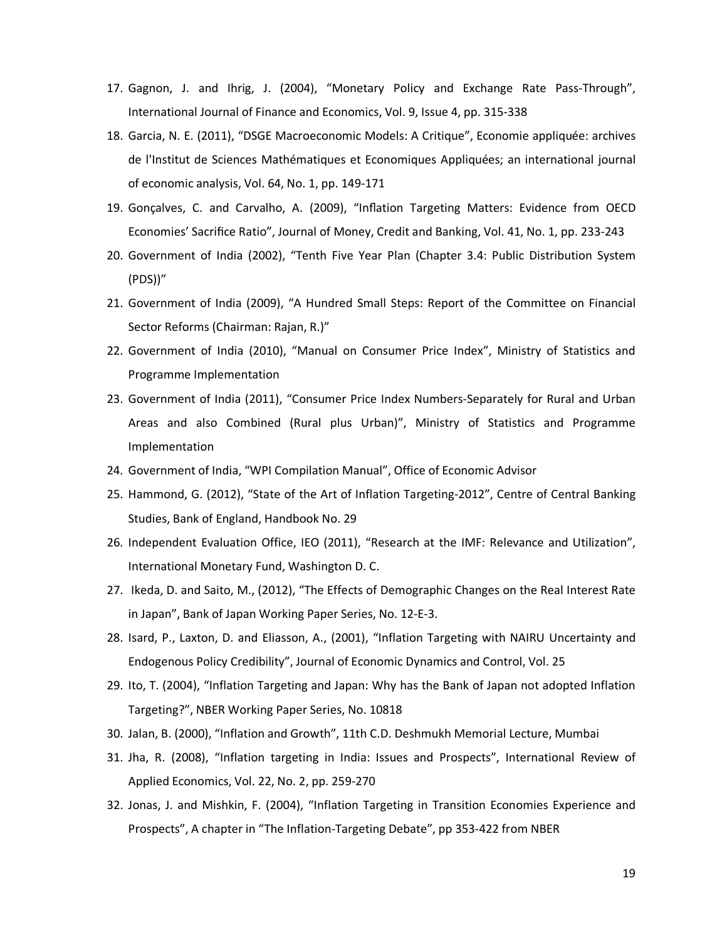- 17. Gagnon, J. and Ihrig, J. (2004), "Monetary Policy and Exchange Rate Pass-Through", International Journal of Finance and Economics, Vol. 9, Issue 4, pp. 315-338
- 18. Garcia, N. E. (2011), "DSGE Macroeconomic Models: A Critique", Economie appliquée: archives de l'Institut de Sciences Mathématiques et Economiques Appliquées; an international journal of economic analysis, Vol. 64, No. 1, pp. 149-171
- 19. Gonçalves, C. and Carvalho, A. (2009), "Inflation Targeting Matters: Evidence from OECD Economies' Sacrifice Ratio", Journal of Money, Credit and Banking, Vol. 41, No. 1, pp. 233-243
- 20. Government of India (2002), "Tenth Five Year Plan (Chapter 3.4: Public Distribution System (PDS))"
- 21. Government of India (2009), "A Hundred Small Steps: Report of the Committee on Financial Sector Reforms (Chairman: Rajan, R.)"
- 22. Government of India (2010), "Manual on Consumer Price Index", Ministry of Statistics and Programme Implementation
- 23. Government of India (2011), "Consumer Price Index Numbers-Separately for Rural and Urban Areas and also Combined (Rural plus Urban)", Ministry of Statistics and Programme Implementation
- 24. Government of India, "WPI Compilation Manual", Office of Economic Advisor
- 25. Hammond, G. (2012), "State of the Art of Inflation Targeting-2012", Centre of Central Banking Studies, Bank of England, Handbook No. 29
- 26. Independent Evaluation Office, IEO (2011), "Research at the IMF: Relevance and Utilization", International Monetary Fund, Washington D. C.
- 27. Ikeda, D. and Saito, M., (2012), "The Effects of Demographic Changes on the Real Interest Rate in Japan", Bank of Japan Working Paper Series, No. 12-E-3.
- 28. Isard, P., Laxton, D. and Eliasson, A., (2001), "Inflation Targeting with NAIRU Uncertainty and Endogenous Policy Credibility", Journal of Economic Dynamics and Control, Vol. 25
- 29. Ito, T. (2004), "Inflation Targeting and Japan: Why has the Bank of Japan not adopted Inflation Targeting?", NBER Working Paper Series, No. 10818
- 30. Jalan, B. (2000), "Inflation and Growth", 11th C.D. Deshmukh Memorial Lecture, Mumbai
- 31. Jha, R. (2008), "Inflation targeting in India: Issues and Prospects", International Review of Applied Economics, Vol. 22, No. 2, pp. 259-270
- 32. Jonas, J. and Mishkin, F. (2004), "Inflation Targeting in Transition Economies Experience and Prospects", A chapter in ["The Inflation-Targeting Debate"](http://econpapers.repec.org/bookchap/nbrnberbk/bern04-1.htm), pp 353-422 from NBER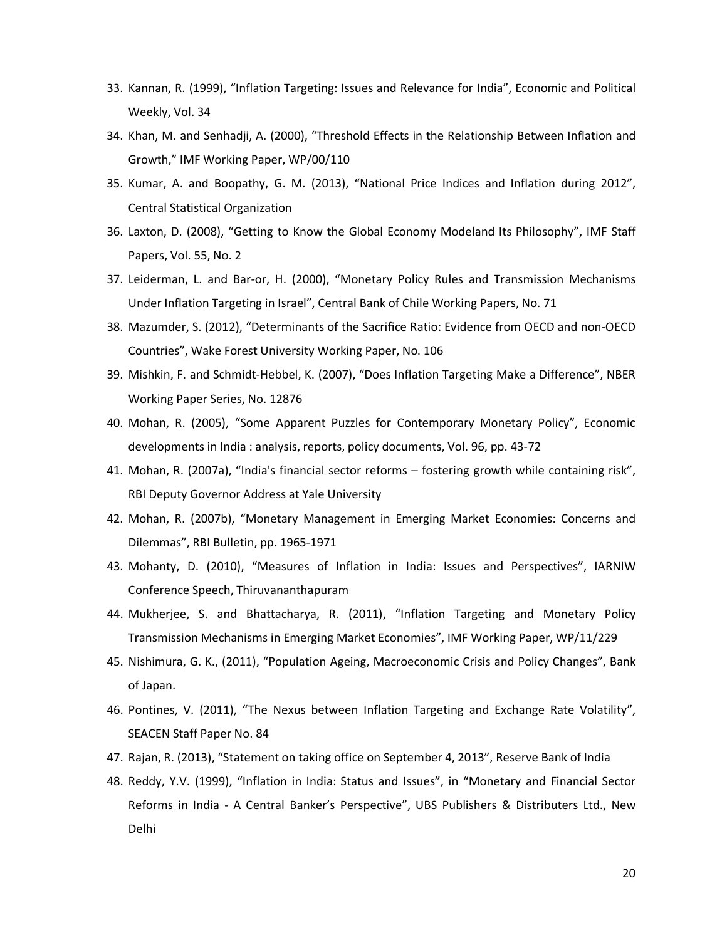- 33. Kannan, R. (1999), "Inflation Targeting: Issues and Relevance for India", Economic and Political Weekly, Vol. 34
- 34. Khan, M. and Senhadji, A. (2000), "Threshold Effects in the Relationship Between Inflation and Growth," IMF Working Paper, WP/00/110
- 35. Kumar, A. and Boopathy, G. M. (2013), "National Price Indices and Inflation during 2012", Central Statistical Organization
- 36. Laxton, D. (2008), "Getting to Know the Global Economy Modeland Its Philosophy", IMF Staff Papers, Vol. 55, No. 2
- 37. Leiderman, L. and Bar-or, H. (2000), "Monetary Policy Rules and Transmission Mechanisms Under Inflation Targeting in Israel", Central Bank of Chile Working Papers, No. 71
- 38. Mazumder, S. (2012), "Determinants of the Sacrifice Ratio: Evidence from OECD and non-OECD Countries", Wake Forest University Working Paper, No. 106
- 39. Mishkin, F. and Schmidt-Hebbel, K. (2007), "Does Inflation Targeting Make a Difference", NBER Working Paper Series, No. 12876
- 40. Mohan, R. (2005), "Some Apparent Puzzles for Contemporary Monetary Policy", [Economic](http://www.econbiz.de/Search/Results?lookfor=%22Economic+developments+in+India+%3A+analysis%2C+reports%2C+policy+documents%22&type=PublishedIn&limit=20)  [developments in India : analysis, reports, policy documents,](http://www.econbiz.de/Search/Results?lookfor=%22Economic+developments+in+India+%3A+analysis%2C+reports%2C+policy+documents%22&type=PublishedIn&limit=20) Vol. 96, pp. 43-72
- 41. Mohan, R. (2007a), "India's financial sector reforms fostering growth while containing risk", RBI Deputy Governor Address at Yale University
- 42. Mohan, R. (2007b), "Monetary Management in Emerging Market Economies: Concerns and Dilemmas", RBI Bulletin, pp. 1965-1971
- 43. Mohanty, D. (2010), "Measures of Inflation in India: Issues and Perspectives", IARNIW Conference Speech, Thiruvananthapuram
- 44. Mukherjee, S. and Bhattacharya, R. (2011), "Inflation Targeting and Monetary Policy Transmission Mechanisms in Emerging Market Economies", IMF Working Paper, WP/11/229
- 45. Nishimura, G. K., (2011), "Population Ageing, Macroeconomic Crisis and Policy Changes", Bank of Japan.
- 46. Pontines, V. (2011), "The Nexus between Inflation Targeting and Exchange Rate Volatility", SEACEN Staff Paper No. 84
- 47. Rajan, R. (2013), "Statement on taking office on September 4, 2013", Reserve Bank of India
- 48. Reddy, Y.V. (1999), "Inflation in India: Status and Issues", in "Monetary and Financial Sector Reforms in India - A Central Banker's Perspective", UBS Publishers & Distributers Ltd., New Delhi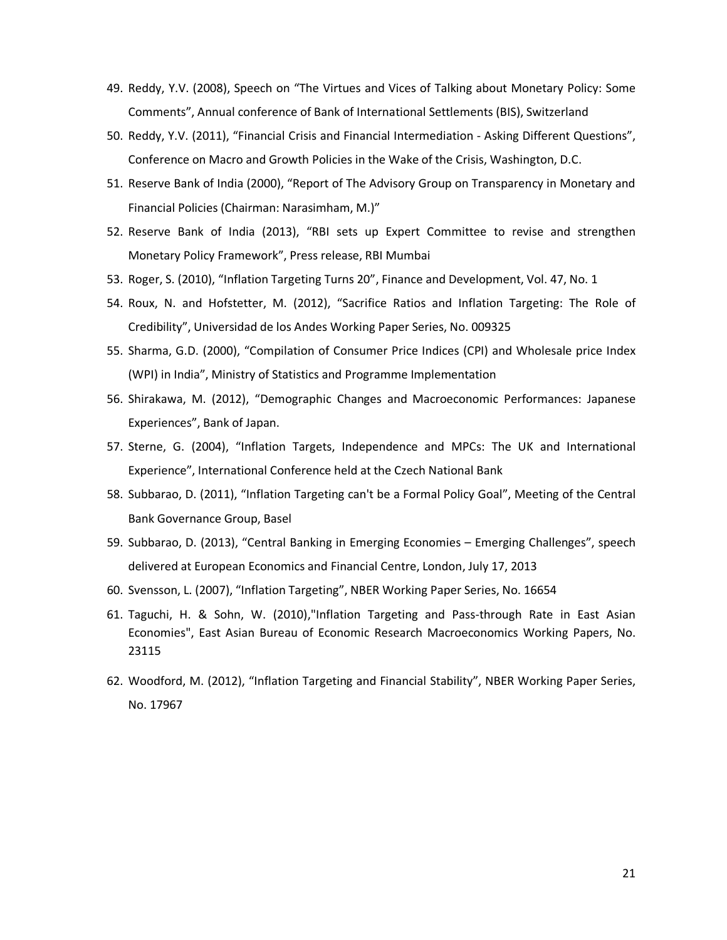- 49. Reddy, Y.V. (2008), Speech on "The Virtues and Vices of Talking about Monetary Policy: Some Comments", Annual conference of Bank of International Settlements (BIS), Switzerland
- 50. Reddy, Y.V. (2011), "Financial Crisis and Financial Intermediation Asking Different Questions", Conference on Macro and Growth Policies in the Wake of the Crisis, Washington, D.C.
- 51. Reserve Bank of India (2000), "Report of The Advisory Group on Transparency in Monetary and Financial Policies (Chairman: Narasimham, M.)"
- 52. Reserve Bank of India (2013), "RBI sets up Expert Committee to revise and strengthen Monetary Policy Framework", Press release, RBI Mumbai
- 53. Roger, S. (2010), "Inflation Targeting Turns 20", Finance and Development, Vol. 47, No. 1
- 54. Roux, N. and Hofstetter, M. (2012), "Sacrifice Ratios and Inflation Targeting: The Role of Credibility", Universidad de los Andes Working Paper Series, No. 009325
- 55. Sharma, G.D. (2000), "Compilation of Consumer Price Indices (CPI) and Wholesale price Index (WPI) in India", Ministry of Statistics and Programme Implementation
- 56. Shirakawa, M. (2012), "Demographic Changes and Macroeconomic Performances: Japanese Experiences", Bank of Japan.
- 57. Sterne, G. (2004), "Inflation Targets, Independence and MPCs: The UK and International Experience", International Conference held at the Czech National Bank
- 58. Subbarao, D. (2011), "Inflation Targeting can't be a Formal Policy Goal", Meeting of the Central Bank Governance Group, Basel
- 59. Subbarao, D. (2013), "Central Banking in Emerging Economies Emerging Challenges", speech delivered at European Economics and Financial Centre, London, July 17, 2013
- 60. Svensson, L. (2007), "Inflation Targeting", NBER Working Paper Series, No. 16654
- 61. Taguchi, H. & Sohn, W. (2010),"Inflation Targeting and Pass-through Rate in East Asian Economies", East Asian Bureau of Economic Research Macroeconomics Working Papers, No. 23115
- 62. Woodford, M. (2012), "Inflation Targeting and Financial Stability", NBER Working Paper Series, No. 17967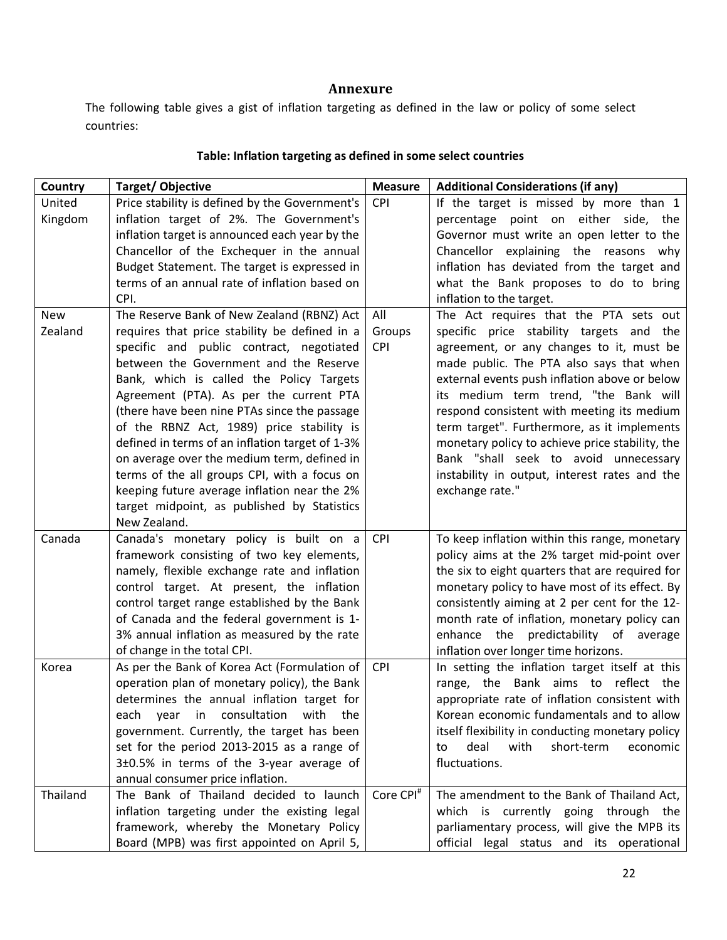#### **Annexure**

The following table gives a gist of inflation targeting as defined in the law or policy of some select countries:

#### **Country** Target/ Objective **Target/ Objective Measure Additional Considerations (if any)** United Kingdom Price stability is defined by the Government's inflation target of 2%. The Government's inflation target is announced each year by the Chancellor of the Exchequer in the annual Budget Statement. The target is expressed in terms of an annual rate of inflation based on CPI.  $CPI$  | If the target is missed by more than 1 percentage point on either side, the Governor must write an open letter to the Chancellor explaining the reasons why inflation has deviated from the target and what the Bank proposes to do to bring inflation to the target. New Zealand The Reserve Bank of New Zealand (RBNZ) Act requires that price stability be defined in a specific and public contract, negotiated between the Government and the Reserve Bank, which is called the Policy Targets Agreement (PTA). As per the current PTA (there have been nine PTAs since the passage of the RBNZ Act, 1989) price stability is defined in terms of an inflation target of 1-3% on average over the medium term, defined in terms of the all groups CPI, with a focus on keeping future average inflation near the 2% target midpoint, as published by Statistics New Zealand. All Groups CPI The Act requires that the PTA sets out specific price stability targets and the agreement, or any changes to it, must be made public. The PTA also says that when external events push inflation above or below its medium term trend, "the Bank will respond consistent with meeting its medium term target". Furthermore, as it implements monetary policy to achieve price stability, the Bank "shall seek to avoid unnecessary instability in output, interest rates and the exchange rate." Canada Canada's monetary policy is built on a framework consisting of two key elements, namely, flexible exchange rate and inflation control target. At present, the inflation control target range established by the Bank of Canada and the federal government is 1- 3% annual inflation as measured by the rate of change in the total CPI.  $CPI$  To keep inflation within this range, monetary policy aims at the 2% target mid-point over the six to eight quarters that are required for monetary policy to have most of its effect. By consistently aiming at 2 per cent for the 12 month rate of inflation, monetary policy can enhance the predictability of average inflation over longer time horizons. Korea  $\vert$  As per the Bank of Korea Act (Formulation of operation plan of monetary policy), the Bank determines the annual inflation target for each year in consultation with the government. Currently, the target has been set for the period 2013-2015 as a range of 3±0.5% in terms of the 3-year average of annual consumer price inflation.  $CPI$  | In setting the inflation target itself at this range, the Bank aims to reflect the appropriate rate of inflation consistent with Korean economic fundamentals and to allow itself flexibility in conducting monetary policy to deal with short-term economic fluctuations.

#### **Table: Inflation targeting as defined in some select countries**